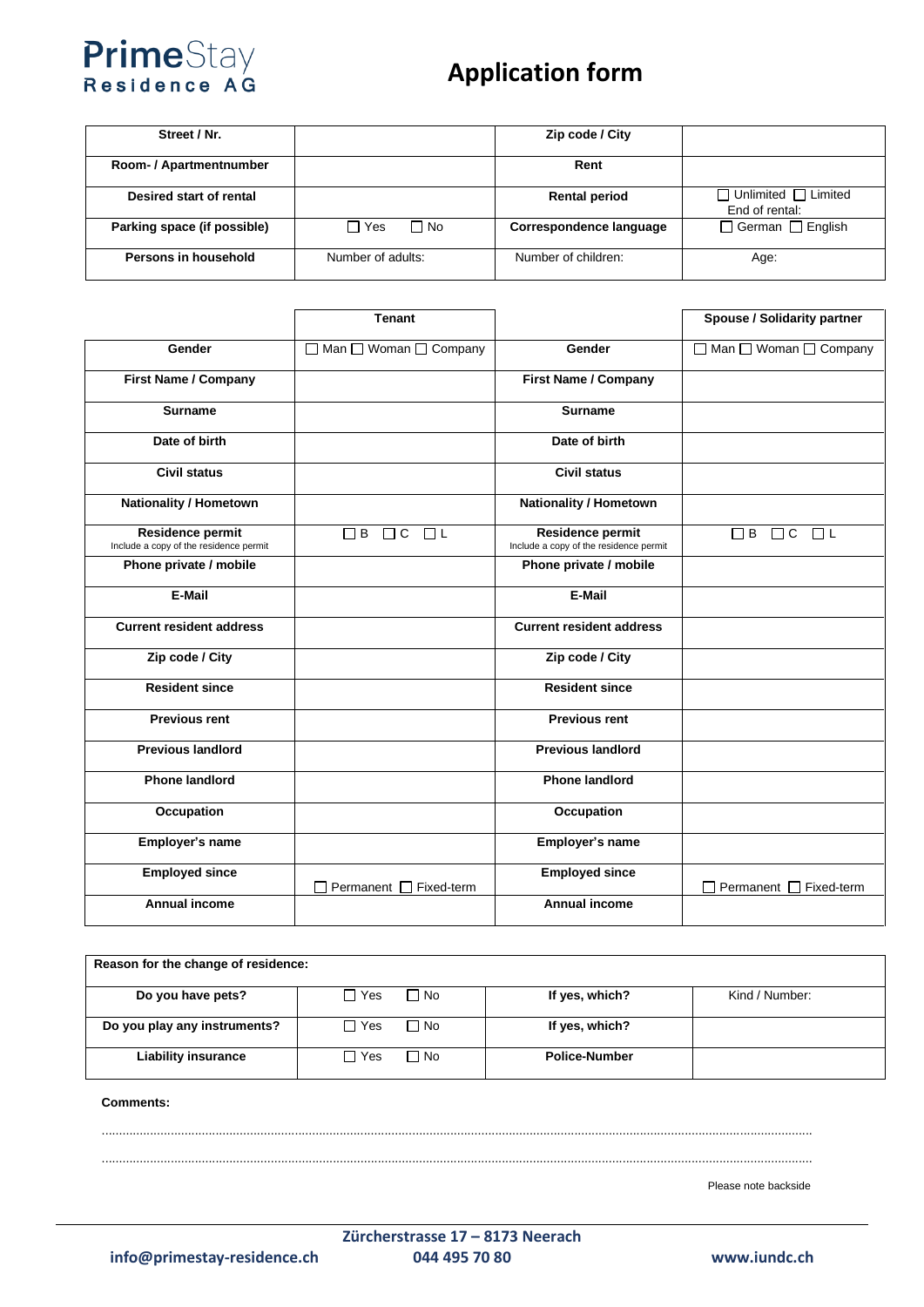## PrimeStay<br>Residence AG

## **Application form**

| Street / Nr.                |                   | Zip code / City         |                                                   |
|-----------------------------|-------------------|-------------------------|---------------------------------------------------|
| Room- / Apartmentnumber     |                   | Rent                    |                                                   |
| Desired start of rental     |                   | <b>Rental period</b>    | $\Box$ Unlimited $\Box$ Limited<br>End of rental: |
| Parking space (if possible) | ∏ Yes<br>∩ No     | Correspondence language | □ German □ English                                |
| Persons in household        | Number of adults: | Number of children:     | Age:                                              |

|                                                                   | <b>Tenant</b>                  |                                                                   | <b>Spouse / Solidarity partner</b>     |
|-------------------------------------------------------------------|--------------------------------|-------------------------------------------------------------------|----------------------------------------|
| Gender                                                            | □ Man □ Woman □ Company        | Gender                                                            | □ Man □ Woman □ Company                |
| <b>First Name / Company</b>                                       |                                | <b>First Name / Company</b>                                       |                                        |
| <b>Surname</b>                                                    |                                | <b>Surname</b>                                                    |                                        |
| Date of birth                                                     |                                | Date of birth                                                     |                                        |
| <b>Civil status</b>                                               |                                | <b>Civil status</b>                                               |                                        |
| <b>Nationality / Hometown</b>                                     |                                | <b>Nationality / Hometown</b>                                     |                                        |
| <b>Residence permit</b><br>Include a copy of the residence permit | $\Box$ B $\Box$ C $\Box$ L     | <b>Residence permit</b><br>Include a copy of the residence permit | $\Box$ L<br>$\Box$ B<br>$\Box$ $\circ$ |
| Phone private / mobile                                            |                                | Phone private / mobile                                            |                                        |
| E-Mail                                                            |                                | E-Mail                                                            |                                        |
| <b>Current resident address</b>                                   |                                | <b>Current resident address</b>                                   |                                        |
| Zip code / City                                                   |                                | Zip code / City                                                   |                                        |
| <b>Resident since</b>                                             |                                | <b>Resident since</b>                                             |                                        |
| <b>Previous rent</b>                                              |                                | <b>Previous rent</b>                                              |                                        |
| <b>Previous landlord</b>                                          |                                | <b>Previous landlord</b>                                          |                                        |
| <b>Phone landlord</b>                                             |                                | <b>Phone landlord</b>                                             |                                        |
| Occupation                                                        |                                | Occupation                                                        |                                        |
| Employer's name                                                   |                                | <b>Employer's name</b>                                            |                                        |
| <b>Employed since</b>                                             | Permanent $\Box$<br>Fixed-term | <b>Employed since</b>                                             | Permanent $\square$<br>Fixed-term      |
| <b>Annual income</b>                                              |                                | <b>Annual income</b>                                              |                                        |

| Reason for the change of residence: |               |                      |                |
|-------------------------------------|---------------|----------------------|----------------|
| Do you have pets?                   | ∏ Yes<br>∩ No | If yes, which?       | Kind / Number: |
| Do you play any instruments?        | 1 Yes<br>∩ No | If yes, which?       |                |
| <b>Liability insurance</b>          | 1 Yes<br>∩ No | <b>Police-Number</b> |                |

**Comments:** 

..............................................................................................................................................................................................................

Please note backside

..............................................................................................................................................................................................................